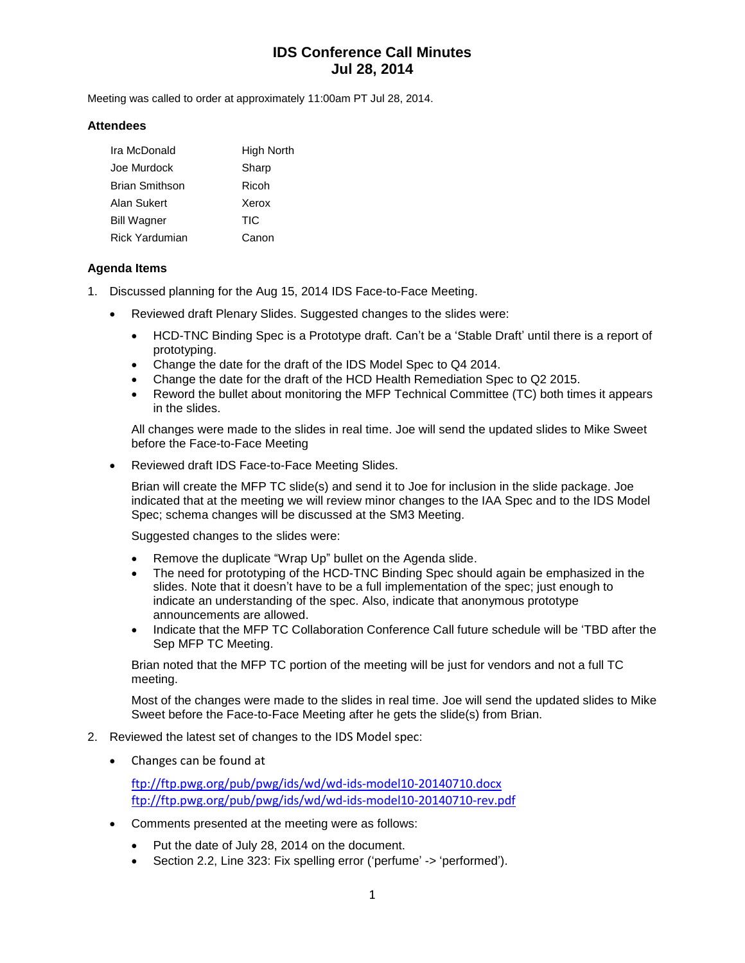# **IDS Conference Call Minutes Jul 28, 2014**

Meeting was called to order at approximately 11:00am PT Jul 28, 2014.

#### **Attendees**

| Ira McDonald          | High North |
|-----------------------|------------|
| Joe Murdock           | Sharp      |
| <b>Brian Smithson</b> | Ricoh      |
| Alan Sukert           | Xerox      |
| <b>Bill Wagner</b>    | TIC        |
| <b>Rick Yardumian</b> | Canon      |

### **Agenda Items**

- 1. Discussed planning for the Aug 15, 2014 IDS Face-to-Face Meeting.
	- Reviewed draft Plenary Slides. Suggested changes to the slides were:
		- HCD-TNC Binding Spec is a Prototype draft. Can't be a 'Stable Draft' until there is a report of prototyping.
		- Change the date for the draft of the IDS Model Spec to Q4 2014.
		- Change the date for the draft of the HCD Health Remediation Spec to Q2 2015.
		- Reword the bullet about monitoring the MFP Technical Committee (TC) both times it appears in the slides.

All changes were made to the slides in real time. Joe will send the updated slides to Mike Sweet before the Face-to-Face Meeting

• Reviewed draft IDS Face-to-Face Meeting Slides.

Brian will create the MFP TC slide(s) and send it to Joe for inclusion in the slide package. Joe indicated that at the meeting we will review minor changes to the IAA Spec and to the IDS Model Spec; schema changes will be discussed at the SM3 Meeting.

Suggested changes to the slides were:

- Remove the duplicate "Wrap Up" bullet on the Agenda slide.
- The need for prototyping of the HCD-TNC Binding Spec should again be emphasized in the slides. Note that it doesn't have to be a full implementation of the spec; just enough to indicate an understanding of the spec. Also, indicate that anonymous prototype announcements are allowed.
- Indicate that the MFP TC Collaboration Conference Call future schedule will be 'TBD after the Sep MFP TC Meeting.

Brian noted that the MFP TC portion of the meeting will be just for vendors and not a full TC meeting.

Most of the changes were made to the slides in real time. Joe will send the updated slides to Mike Sweet before the Face-to-Face Meeting after he gets the slide(s) from Brian.

- 2. Reviewed the latest set of changes to the IDS Model spec:
	- Changes can be found at

<ftp://ftp.pwg.org/pub/pwg/ids/wd/wd-ids-model10-20140710.docx> <ftp://ftp.pwg.org/pub/pwg/ids/wd/wd-ids-model10-20140710-rev.pdf>

- Comments presented at the meeting were as follows:
	- Put the date of July 28, 2014 on the document.
	- Section 2.2, Line 323: Fix spelling error ('perfume' -> 'performed').